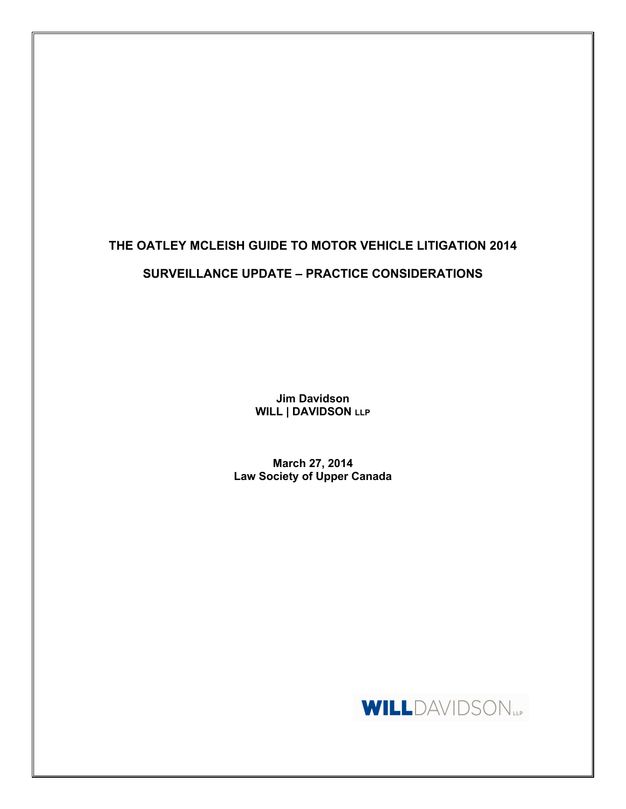# **THE OATLEY MCLEISH GUIDE TO MOTOR VEHICLE LITIGATION 2014 SURVEILLANCE UPDATE – PRACTICE CONSIDERATIONS**

**Jim Davidson WILL | DAVIDSON LLP**

**March 27, 2014 Law Society of Upper Canada**

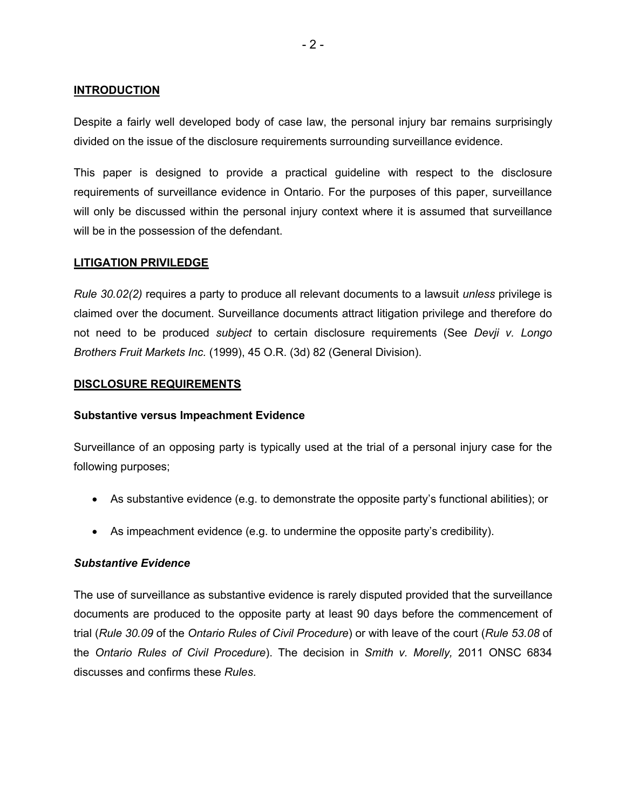#### **INTRODUCTION**

Despite a fairly well developed body of case law, the personal injury bar remains surprisingly divided on the issue of the disclosure requirements surrounding surveillance evidence.

This paper is designed to provide a practical guideline with respect to the disclosure requirements of surveillance evidence in Ontario. For the purposes of this paper, surveillance will only be discussed within the personal injury context where it is assumed that surveillance will be in the possession of the defendant.

#### **LITIGATION PRIVILEDGE**

*Rule 30.02(2)* requires a party to produce all relevant documents to a lawsuit *unless* privilege is claimed over the document. Surveillance documents attract litigation privilege and therefore do not need to be produced *subject* to certain disclosure requirements (See *Devji v. Longo Brothers Fruit Markets Inc.* (1999), 45 O.R. (3d) 82 (General Division).

#### **DISCLOSURE REQUIREMENTS**

#### **Substantive versus Impeachment Evidence**

Surveillance of an opposing party is typically used at the trial of a personal injury case for the following purposes;

- As substantive evidence (e.g. to demonstrate the opposite party's functional abilities); or
- As impeachment evidence (e.g. to undermine the opposite party's credibility).

# *Substantive Evidence*

The use of surveillance as substantive evidence is rarely disputed provided that the surveillance documents are produced to the opposite party at least 90 days before the commencement of trial (*Rule 30.09* of the *Ontario Rules of Civil Procedure*) or with leave of the court (*Rule 53.08* of the *Ontario Rules of Civil Procedure*). The decision in *Smith v. Morelly,* 2011 ONSC 6834 discusses and confirms these *Rules*.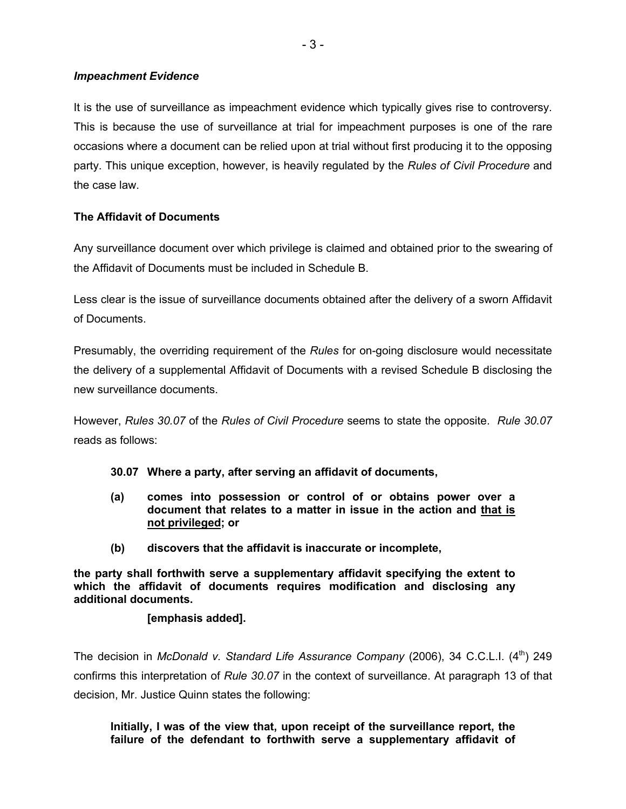## *Impeachment Evidence*

It is the use of surveillance as impeachment evidence which typically gives rise to controversy. This is because the use of surveillance at trial for impeachment purposes is one of the rare occasions where a document can be relied upon at trial without first producing it to the opposing party. This unique exception, however, is heavily regulated by the *Rules of Civil Procedure* and the case law.

# **The Affidavit of Documents**

Any surveillance document over which privilege is claimed and obtained prior to the swearing of the Affidavit of Documents must be included in Schedule B.

Less clear is the issue of surveillance documents obtained after the delivery of a sworn Affidavit of Documents.

Presumably, the overriding requirement of the *Rules* for on-going disclosure would necessitate the delivery of a supplemental Affidavit of Documents with a revised Schedule B disclosing the new surveillance documents.

However, *Rules 30.07* of the *Rules of Civil Procedure* seems to state the opposite. *Rule 30.07* reads as follows:

- **30.07 Where a party, after serving an affidavit of documents,**
- **(a) comes into possession or control of or obtains power over a document that relates to a matter in issue in the action and that is not privileged; or**
- **(b) discovers that the affidavit is inaccurate or incomplete,**

**the party shall forthwith serve a supplementary affidavit specifying the extent to which the affidavit of documents requires modification and disclosing any additional documents.** 

# **[emphasis added].**

The decision in *McDonald v. Standard Life Assurance Company* (2006), 34 C.C.L.I. (4<sup>th</sup>) 249 confirms this interpretation of *Rule 30.07* in the context of surveillance. At paragraph 13 of that decision, Mr. Justice Quinn states the following:

**Initially, I was of the view that, upon receipt of the surveillance report, the failure of the defendant to forthwith serve a supplementary affidavit of**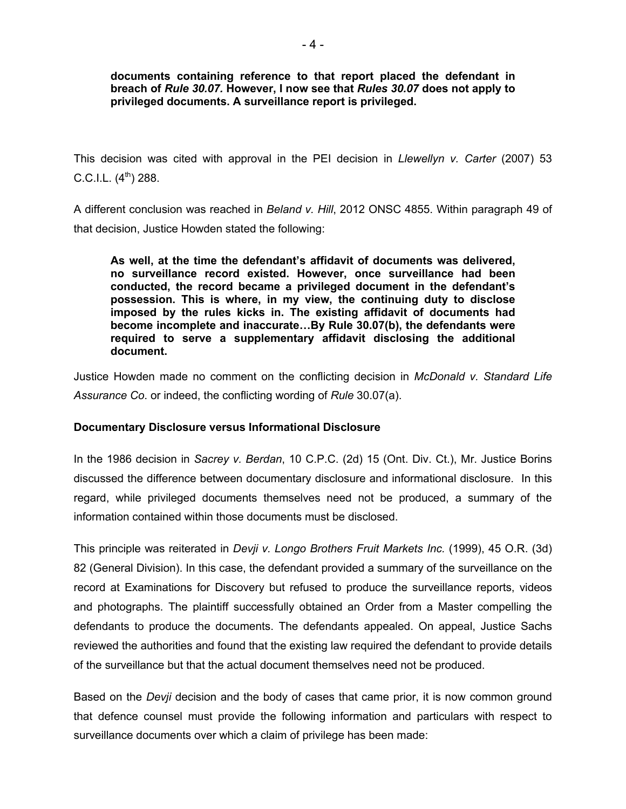**documents containing reference to that report placed the defendant in breach of** *Rule 30.07.* **However, I now see that** *Rules 30.07* **does not apply to privileged documents. A surveillance report is privileged.** 

This decision was cited with approval in the PEI decision in *Llewellyn v. Carter* (2007) 53 C.C.I.L.  $(4^{th})$  288.

A different conclusion was reached in *Beland v. Hill*, 2012 ONSC 4855. Within paragraph 49 of that decision, Justice Howden stated the following:

**As well, at the time the defendant's affidavit of documents was delivered, no surveillance record existed. However, once surveillance had been conducted, the record became a privileged document in the defendant's possession. This is where, in my view, the continuing duty to disclose imposed by the rules kicks in. The existing affidavit of documents had become incomplete and inaccurate…By Rule 30.07(b), the defendants were required to serve a supplementary affidavit disclosing the additional document.**

Justice Howden made no comment on the conflicting decision in *McDonald v. Standard Life Assurance Co*. or indeed, the conflicting wording of *Rule* 30.07(a).

# **Documentary Disclosure versus Informational Disclosure**

In the 1986 decision in *Sacrey v. Berdan*, 10 C.P.C. (2d) 15 (Ont. Div. Ct.), Mr. Justice Borins discussed the difference between documentary disclosure and informational disclosure. In this regard, while privileged documents themselves need not be produced, a summary of the information contained within those documents must be disclosed.

This principle was reiterated in *Devji v. Longo Brothers Fruit Markets Inc.* (1999), 45 O.R. (3d) 82 (General Division). In this case, the defendant provided a summary of the surveillance on the record at Examinations for Discovery but refused to produce the surveillance reports, videos and photographs. The plaintiff successfully obtained an Order from a Master compelling the defendants to produce the documents. The defendants appealed. On appeal, Justice Sachs reviewed the authorities and found that the existing law required the defendant to provide details of the surveillance but that the actual document themselves need not be produced.

Based on the *Devji* decision and the body of cases that came prior, it is now common ground that defence counsel must provide the following information and particulars with respect to surveillance documents over which a claim of privilege has been made: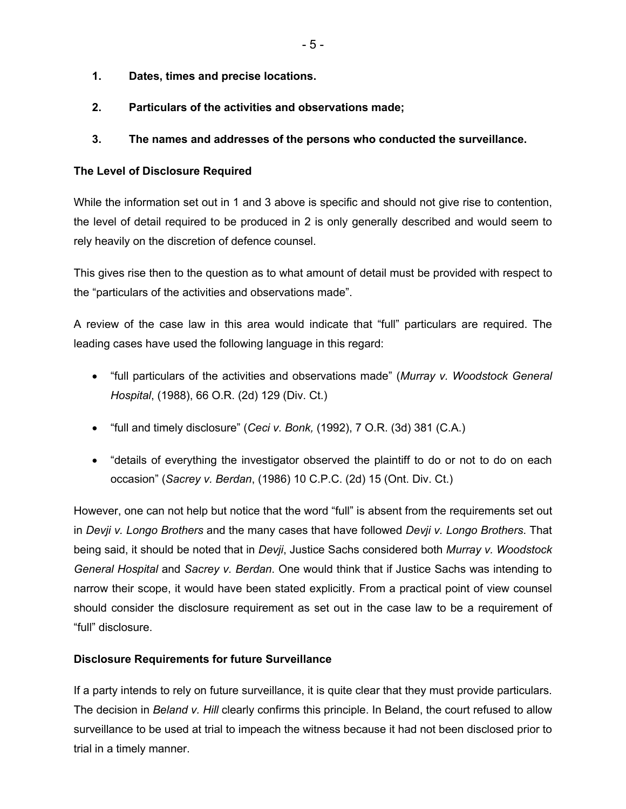- **1. Dates, times and precise locations.**
- **2. Particulars of the activities and observations made;**

# **3. The names and addresses of the persons who conducted the surveillance.**

# **The Level of Disclosure Required**

While the information set out in 1 and 3 above is specific and should not give rise to contention, the level of detail required to be produced in 2 is only generally described and would seem to rely heavily on the discretion of defence counsel.

This gives rise then to the question as to what amount of detail must be provided with respect to the "particulars of the activities and observations made".

A review of the case law in this area would indicate that "full" particulars are required. The leading cases have used the following language in this regard:

- "full particulars of the activities and observations made" (*Murray v. Woodstock General Hospital*, (1988), 66 O.R. (2d) 129 (Div. Ct.)
- "full and timely disclosure" (*Ceci v. Bonk,* (1992), 7 O.R. (3d) 381 (C.A.)
- "details of everything the investigator observed the plaintiff to do or not to do on each occasion" (*Sacrey v. Berdan*, (1986) 10 C.P.C. (2d) 15 (Ont. Div. Ct.)

However, one can not help but notice that the word "full" is absent from the requirements set out in *Devji v. Longo Brothers* and the many cases that have followed *Devji v. Longo Brothers*. That being said, it should be noted that in *Devji*, Justice Sachs considered both *Murray v. Woodstock General Hospital* and *Sacrey v. Berdan*. One would think that if Justice Sachs was intending to narrow their scope, it would have been stated explicitly. From a practical point of view counsel should consider the disclosure requirement as set out in the case law to be a requirement of "full" disclosure.

# **Disclosure Requirements for future Surveillance**

If a party intends to rely on future surveillance, it is quite clear that they must provide particulars. The decision in *Beland v. Hill* clearly confirms this principle. In Beland, the court refused to allow surveillance to be used at trial to impeach the witness because it had not been disclosed prior to trial in a timely manner.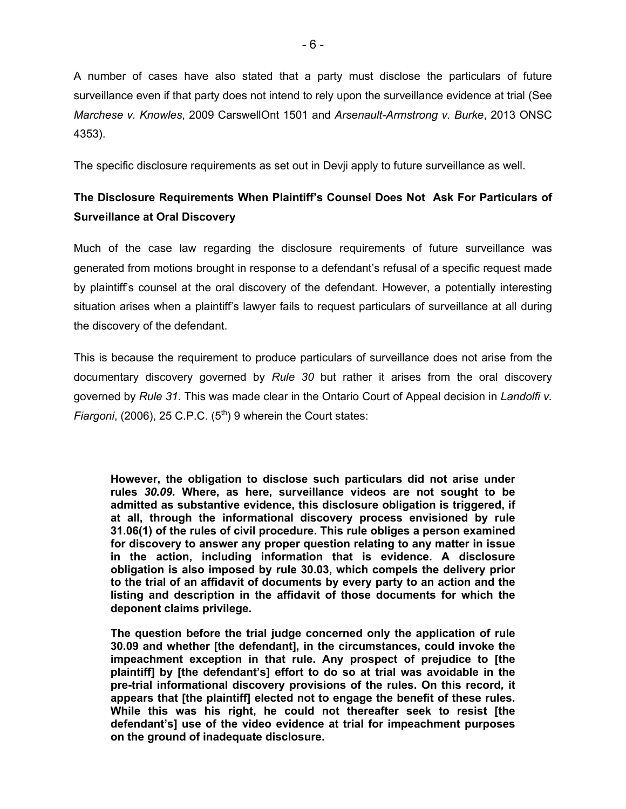A number of cases have also stated that a party must disclose the particulars of future surveillance even if that party does not intend to rely upon the surveillance evidence at trial (See *Marchese v. Knowles*, 2009 CarswellOnt 1501 and *Arsenault-Armstrong v. Burke*, 2013 ONSC 4353).

The specific disclosure requirements as set out in Devji apply to future surveillance as well.

# **The Disclosure Requirements When Plaintiff's Counsel Does Not Ask For Particulars of Surveillance at Oral Discovery**

Much of the case law regarding the disclosure requirements of future surveillance was generated from motions brought in response to a defendant's refusal of a specific request made by plaintiff's counsel at the oral discovery of the defendant. However, a potentially interesting situation arises when a plaintiff's lawyer fails to request particulars of surveillance at all during the discovery of the defendant.

This is because the requirement to produce particulars of surveillance does not arise from the documentary discovery governed by *Rule 30* but rather it arises from the oral discovery governed by *Rule 31*. This was made clear in the Ontario Court of Appeal decision in *Landolfi v. Fiargoni*, (2006), 25 C.P.C. (5<sup>th</sup>) 9 wherein the Court states:

**However, the obligation to disclose such particulars did not arise under rules** *30.09.* **Where, as here, surveillance videos are not sought to be admitted as substantive evidence, this disclosure obligation is triggered, if at all, through the informational discovery process envisioned by rule 31.06(1) of the rules of civil procedure. This rule obliges a person examined for discovery to answer any proper question relating to any matter in issue in the action, including information that is evidence. A disclosure obligation is also imposed by rule 30.03, which compels the delivery prior to the trial of an affidavit of documents by every party to an action and the listing and description in the affidavit of those documents for which the deponent claims privilege.** 

**The question before the trial judge concerned only the application of rule 30.09 and whether [the defendant], in the circumstances, could invoke the impeachment exception in that rule. Any prospect of prejudice to [the plaintiff] by [the defendant's] effort to do so at trial was avoidable in the pre-trial informational discovery provisions of the rules. On this record***,* **it appears that [the plaintiff] elected not to engage the benefit of these rules. While this was his right, he could not thereafter seek to resist [the defendant's] use of the video evidence at trial for impeachment purposes on the ground of inadequate disclosure.**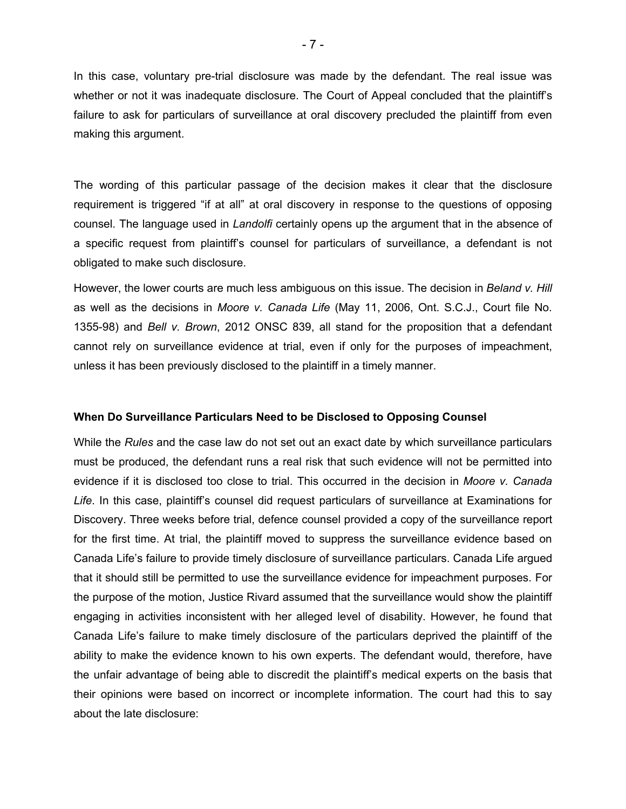In this case, voluntary pre-trial disclosure was made by the defendant. The real issue was whether or not it was inadequate disclosure. The Court of Appeal concluded that the plaintiff's failure to ask for particulars of surveillance at oral discovery precluded the plaintiff from even making this argument.

The wording of this particular passage of the decision makes it clear that the disclosure requirement is triggered "if at all" at oral discovery in response to the questions of opposing counsel. The language used in *Landolfi* certainly opens up the argument that in the absence of a specific request from plaintiff's counsel for particulars of surveillance, a defendant is not obligated to make such disclosure.

However, the lower courts are much less ambiguous on this issue. The decision in *Beland v. Hill* as well as the decisions in *Moore v. Canada Life* (May 11, 2006, Ont. S.C.J., Court file No. 1355-98) and *Bell v. Brown*, 2012 ONSC 839, all stand for the proposition that a defendant cannot rely on surveillance evidence at trial, even if only for the purposes of impeachment, unless it has been previously disclosed to the plaintiff in a timely manner.

#### **When Do Surveillance Particulars Need to be Disclosed to Opposing Counsel**

While the *Rules* and the case law do not set out an exact date by which surveillance particulars must be produced, the defendant runs a real risk that such evidence will not be permitted into evidence if it is disclosed too close to trial. This occurred in the decision in *Moore v. Canada Life*. In this case, plaintiff's counsel did request particulars of surveillance at Examinations for Discovery. Three weeks before trial, defence counsel provided a copy of the surveillance report for the first time. At trial, the plaintiff moved to suppress the surveillance evidence based on Canada Life's failure to provide timely disclosure of surveillance particulars. Canada Life argued that it should still be permitted to use the surveillance evidence for impeachment purposes. For the purpose of the motion, Justice Rivard assumed that the surveillance would show the plaintiff engaging in activities inconsistent with her alleged level of disability. However, he found that Canada Life's failure to make timely disclosure of the particulars deprived the plaintiff of the ability to make the evidence known to his own experts. The defendant would, therefore, have the unfair advantage of being able to discredit the plaintiff's medical experts on the basis that their opinions were based on incorrect or incomplete information. The court had this to say about the late disclosure: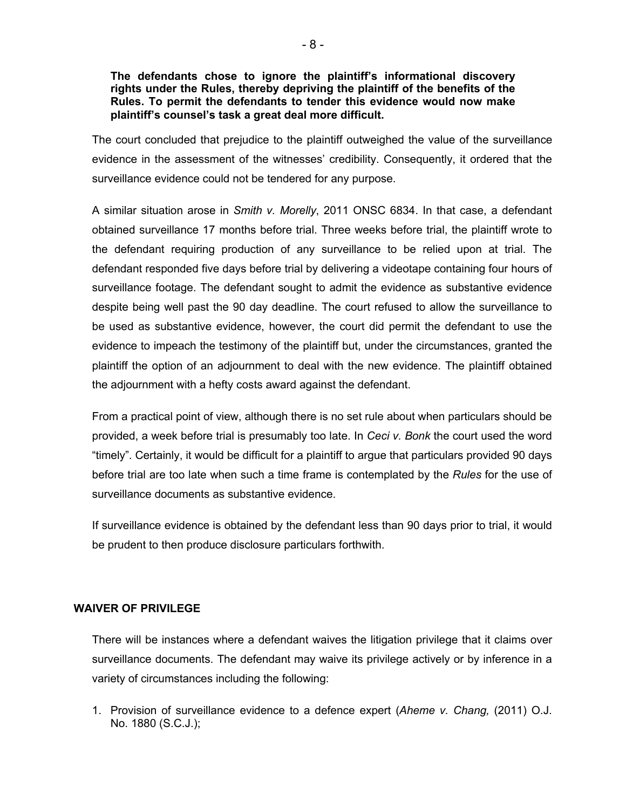### **The defendants chose to ignore the plaintiff's informational discovery rights under the Rules, thereby depriving the plaintiff of the benefits of the Rules. To permit the defendants to tender this evidence would now make plaintiff's counsel's task a great deal more difficult.**

The court concluded that prejudice to the plaintiff outweighed the value of the surveillance evidence in the assessment of the witnesses' credibility. Consequently, it ordered that the surveillance evidence could not be tendered for any purpose.

A similar situation arose in *Smith v. Morelly*, 2011 ONSC 6834. In that case, a defendant obtained surveillance 17 months before trial. Three weeks before trial, the plaintiff wrote to the defendant requiring production of any surveillance to be relied upon at trial. The defendant responded five days before trial by delivering a videotape containing four hours of surveillance footage. The defendant sought to admit the evidence as substantive evidence despite being well past the 90 day deadline. The court refused to allow the surveillance to be used as substantive evidence, however, the court did permit the defendant to use the evidence to impeach the testimony of the plaintiff but, under the circumstances, granted the plaintiff the option of an adjournment to deal with the new evidence. The plaintiff obtained the adjournment with a hefty costs award against the defendant.

From a practical point of view, although there is no set rule about when particulars should be provided, a week before trial is presumably too late. In *Ceci v. Bonk* the court used the word "timely". Certainly, it would be difficult for a plaintiff to argue that particulars provided 90 days before trial are too late when such a time frame is contemplated by the *Rules* for the use of surveillance documents as substantive evidence.

If surveillance evidence is obtained by the defendant less than 90 days prior to trial, it would be prudent to then produce disclosure particulars forthwith.

# **WAIVER OF PRIVILEGE**

There will be instances where a defendant waives the litigation privilege that it claims over surveillance documents. The defendant may waive its privilege actively or by inference in a variety of circumstances including the following:

1. Provision of surveillance evidence to a defence expert (*Aheme v. Chang,* (2011) O.J. No. 1880 (S.C.J.);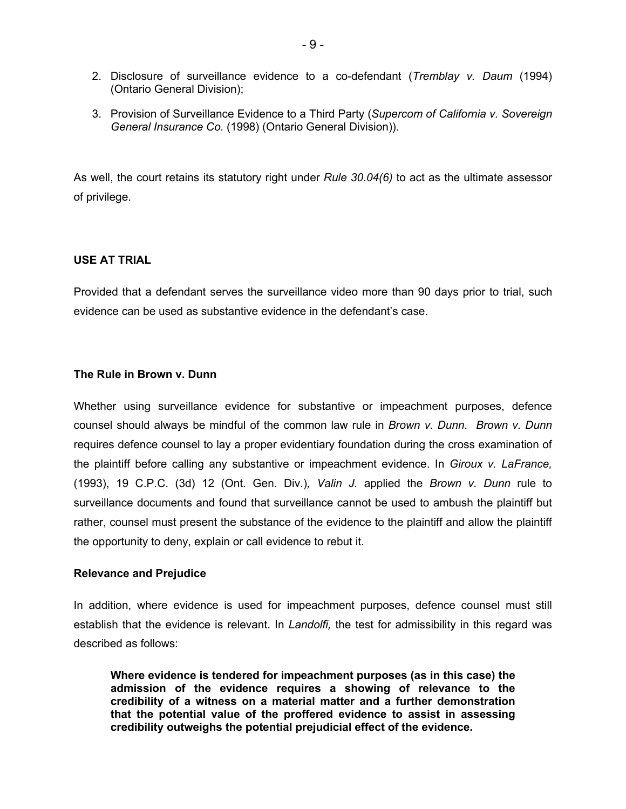- 2. Disclosure of surveillance evidence to a co-defendant (*Tremblay v. Daum* (1994) (Ontario General Division);
- 3. Provision of Surveillance Evidence to a Third Party (*Supercom of California v. Sovereign General Insurance Co.* (1998) (Ontario General Division)).

As well, the court retains its statutory right under *Rule 30.04(6)* to act as the ultimate assessor of privilege.

#### **USE AT TRIAL**

Provided that a defendant serves the surveillance video more than 90 days prior to trial, such evidence can be used as substantive evidence in the defendant's case.

#### **The Rule in Brown v. Dunn**

Whether using surveillance evidence for substantive or impeachment purposes, defence counsel should always be mindful of the common law rule in *Brown v. Dunn*. *Brown v. Dunn* requires defence counsel to lay a proper evidentiary foundation during the cross examination of the plaintiff before calling any substantive or impeachment evidence. In *Giroux v. LaFrance,*  (1993), 19 C.P.C. (3d) 12 (Ont. Gen. Div.)*, Valin J.* applied the *Brown v. Dunn* rule to surveillance documents and found that surveillance cannot be used to ambush the plaintiff but rather, counsel must present the substance of the evidence to the plaintiff and allow the plaintiff the opportunity to deny, explain or call evidence to rebut it.

#### **Relevance and Prejudice**

In addition, where evidence is used for impeachment purposes, defence counsel must still establish that the evidence is relevant. In *Landolfi,* the test for admissibility in this regard was described as follows:

**Where evidence is tendered for impeachment purposes (as in this case) the admission of the evidence requires a showing of relevance to the credibility of a witness on a material matter and a further demonstration that the potential value of the proffered evidence to assist in assessing credibility outweighs the potential prejudicial effect of the evidence.**